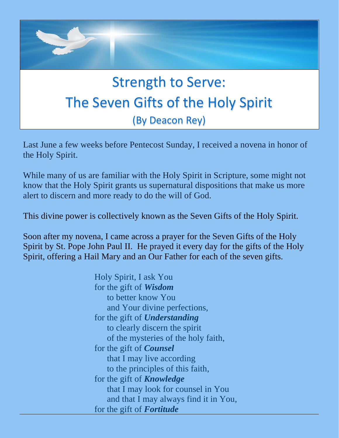

Last June a few weeks before Pentecost Sunday, I received a novena in honor of the Holy Spirit.

While many of us are familiar with the Holy Spirit in Scripture, some might not know that the Holy Spirit grants us supernatural dispositions that make us more alert to discern and more ready to do the will of God.

This divine power is collectively known as the Seven Gifts of the Holy Spirit.

Soon after my novena, I came across a prayer for the Seven Gifts of the Holy Spirit by St. Pope John Paul II. He prayed it every day for the gifts of the Holy Spirit, offering a Hail Mary and an Our Father for each of the seven gifts.

> Holy Spirit, I ask You for the gift of *Wisdom* to better know You and Your divine perfections, for the gift of *Understanding* to clearly discern the spirit of the mysteries of the holy faith, for the gift of *Counsel* that I may live according to the principles of this faith, for the gift of *Knowledge* that I may look for counsel in You and that I may always find it in You, for the gift of *Fortitude*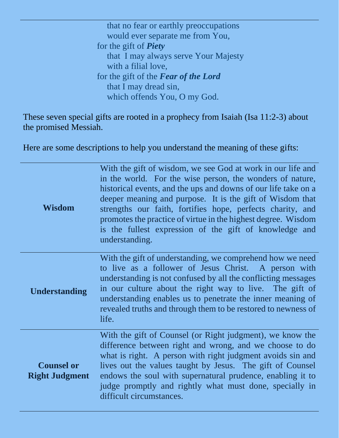that no fear or earthly preoccupations would ever separate me from You, for the gift of *Piety* that I may always serve Your Majesty with a filial love, for the gift of the *Fear of the Lord* that I may dread sin, which offends You, O my God.

These seven special gifts are rooted in a prophecy from Isaiah (Isa 11:2-3) about the promised Messiah.

Here are some descriptions to help you understand the meaning of these gifts:

| <b>Wisdom</b>                              | With the gift of wisdom, we see God at work in our life and<br>in the world. For the wise person, the wonders of nature,<br>historical events, and the ups and downs of our life take on a<br>deeper meaning and purpose. It is the gift of Wisdom that<br>strengths our faith, fortifies hope, perfects charity, and<br>promotes the practice of virtue in the highest degree. Wisdom<br>is the fullest expression of the gift of knowledge and<br>understanding. |
|--------------------------------------------|--------------------------------------------------------------------------------------------------------------------------------------------------------------------------------------------------------------------------------------------------------------------------------------------------------------------------------------------------------------------------------------------------------------------------------------------------------------------|
| <b>Understanding</b>                       | With the gift of understanding, we comprehend how we need<br>to live as a follower of Jesus Christ. A person with<br>understanding is not confused by all the conflicting messages<br>in our culture about the right way to live. The gift of<br>understanding enables us to penetrate the inner meaning of<br>revealed truths and through them to be restored to newness of<br>life.                                                                              |
| <b>Counsel or</b><br><b>Right Judgment</b> | With the gift of Counsel (or Right judgment), we know the<br>difference between right and wrong, and we choose to do<br>what is right. A person with right judgment avoids sin and<br>lives out the values taught by Jesus. The gift of Counsel<br>endows the soul with supernatural prudence, enabling it to<br>judge promptly and rightly what must done, specially in<br>difficult circumstances.                                                               |